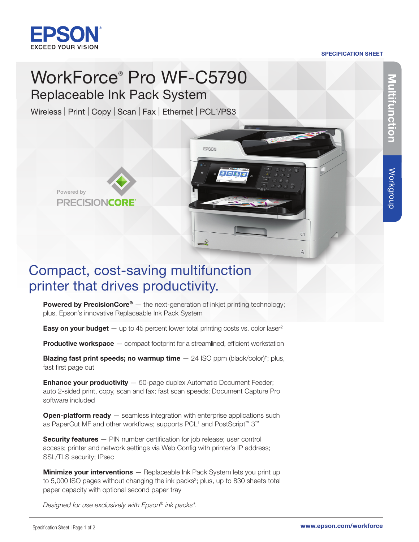

Powered by

**PRECISIONCORE** 

#### SPECIFICATION SHEET

 $C1$ 

 $\Delta$ 

# WorkForce® Pro WF-C5790 Replaceable Ink Pack System

Wireless | Print | Copy | Scan | Fax | Ethernet | PCL<sup>1</sup>/PS3

## Compact, cost-saving multifunction printer that drives productivity.

**Powered by PrecisionCore®** — the next-generation of inkjet printing technology; plus, Epson's innovative Replaceable Ink Pack System

EPSON

 $\rightarrow$ 

**Easy on your budget**  $-$  up to 45 percent lower total printing costs vs. color laser<sup>2</sup>

**Productive workspace** — compact footprint for a streamlined, efficient workstation

**Blazing fast print speeds; no warmup time**  $-$  24 ISO ppm (black/color)<sup>†</sup>; plus, fast first page out

**Enhance your productivity** - 50-page duplex Automatic Document Feeder; auto 2-sided print, copy, scan and fax; fast scan speeds; Document Capture Pro software included

**Open-platform ready**  $-$  seamless integration with enterprise applications such as PaperCut MF and other workflows; supports PCL<sup>1</sup> and PostScript<sup>™</sup> 3<sup>™</sup>

Security features - PIN number certification for job release; user control access; printer and network settings via Web Config with printer's IP address; SSL/TLS security; IPsec

**Minimize your interventions** - Replaceable Ink Pack System lets you print up to 5,000 ISO pages without changing the ink packs<sup>3</sup>; plus, up to 830 sheets total paper capacity with optional second paper tray

*Designed for use exclusively with Epson® ink packs\*.*